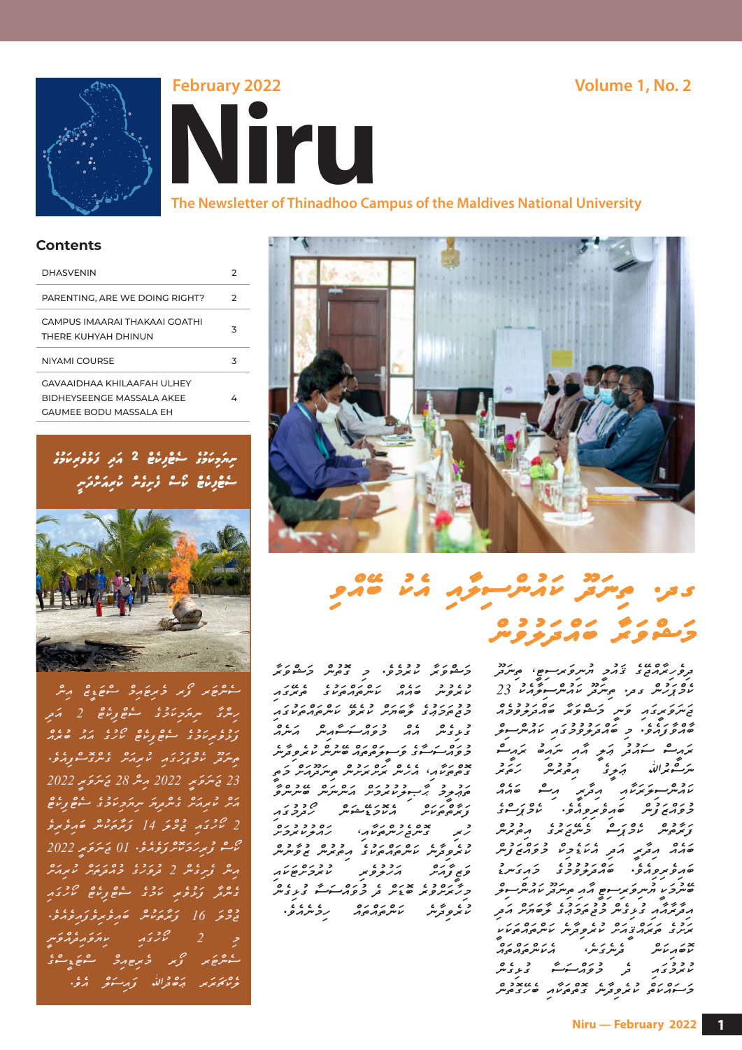



**The Newsletter of Thinadhoo Campus of the Maldives National University**

#### **Contents**

| <b>DHASVENIN</b>                                                                           | 2 |
|--------------------------------------------------------------------------------------------|---|
| PARENTING. ARE WE DOING RIGHT?                                                             | 2 |
| CAMPUS IMAARAI THAKAAI GOATHI<br>THERE KUHYAH DHINUN                                       | 3 |
| NIYAMI COURSE                                                                              | 3 |
| GAVAAIDHAA KHII AAFAH UI HFY<br>BIDHEYSFENGE MASSALA AKEE<br><b>GAUMEE BODU MASSALA EH</b> | 4 |



ސެންޓަރ ފޯރ މެރިޓައިމް ސްޓަޑީޒް އިން ِ ´ ފަޅުވެރިކަމުގެ ސެޓްފިކެޓް ކޯހުގެ އައު ބުރެއް ح شر دو دے دے دے دے دے دے دے دی۔<br>جس سر سرکورے پر سر سر سر سر دے سر دے دی 2022 ڪَسَرَحَ <sub>مِ</sub>ٽر 2022 مِسَرَّ 28 ڪَسَرَحَ *بِ*رِ 2022 ﺭﻩ ﺩ ﺭﻩ ﺩﻩ ﺩﻩ ﺩﻩ ﺩﻩ ﺩﻩ ﺩﻩ ﺩﻩ ﺩﻩ ﺩﻩ 2 ކޯހުގައި ޖުމްލަ 14 ފަރާތަކުން ބައިވެރިވެ چە ۋېرىكى دىن دەن 1022 كىش كىلىرى 2022 އިން ފެށިގެން 2 ދުވަހުގެ މުއްދަތަށް ކުރިއަށް ގެންދާ ފަޅުވެރި ކަމުގެ ސެޓްފިކެޓް ކޯހުގައި ޖުމްލަ 16 ފަރާތަކުން ބައިވެރިވެފައިވެއެވ.ެ  $\frac{1}{2}$ < ސެންޓަރ ފޯރ މެރިޓއިމް ސްޓަޑީސްގެ دەم كۆرىسى مەدىبە دەر دەر



## ى در. مەسرى ئەرشىرى دىر ھەرى ﺭ ﻣ ﺭﻭ ﺭﻭ ﺩﺭ<br><mark>ﺩ</mark>ﻣﻤﺮ *ﻭ*ﮐﺮ ﻣﻪﺭ <del>ﺭﺭ ﺭ</del>ﻩ

ﻣﺎﻣﺪ, ﻣﺘﺮﯾﺮ ﻣﺘﺮ ﻣﺘﺘﺎﻣﺘﺮ ﺩﻭﻣﺘﺘﺘﺮ ﺗﻮﻣﺮ ﺗﺮﻣﺮ ﺗﻮﻣﺮﻣﺮ ﻣﺎﻣﺮﻣﺮﻣﻮﻣﺘﺮ ﺩﻭ ﺩﻭﺩﻭ ﺩﻭ ﺩﻭ ﺩﻭ ﺩﻭ ﺩﻭ ﺩﻭ ﺩﻭ ﺩﻭ މަޝްވަރާ ކުރުމެވ.ެ މި ގޮތުން މަޝްވަރާ ކުރެވުނު ބައެއް ކަންތައްތަކުގެ ތެރޭގައި د د د ر ر د د ر ر د ر ر د ر ر د ر ر د ر<br>ح تو موحر بر د خو صربر مر د ع مر سر مورمونزی ގުޅިގެން އެއް މުވައްސަސާއިން އަނެއް د د ک د بر ۲۵ د ۲۵ د ۲۵ د ۲۵ د ۲۵<br>ح و ۱۸ سومسوی کوسویو چهر کاموسر مانیر و ترمبر ގޮތްތަކާއ،ި އެހެން ރަށްރަށުން ތިނަދޫއަށް މަތީ مزد د خُسِ دو دورہ رہ رہ میں دہ ہے<br>ن*وہ بوچ پر جو م*حر میں مسر میں میں میں د ۱۶۷٬۰۰ ده ۱۶۵٬۰۰<br>زیرهپهن ملاحیه کوچی کوچی ح دە د د د د دە<br>رېز سىس ئەس ئەرەپە ئەرەپ كەرەپ كىلى ئەرەپ كىلى ئاس ئەرەپ كەن ئاس ئەرەپ كەن ئاس ئۇنى ئاس ئاس ئا ﮐﺮ ﮐﺮﻣﺮﻣﯽ ﺩﺩﺩﻩ<u>ﺣﺮﻣ</u><br>ﮐﯿ<del>ﮯ ﮐ</del>ﺮﻣﺮ ﺍﻣﺮ<del>ﮐﺮ</del>ﻭ<del>ﯾﺮ ﺍﻋﺮﻭﯾﺮﻣ</del>ទﻼﻡ څ د ده د ده د د د د د ده<br>حرکوبرو<sub>ک</sub>ر ځونر <sub>قر</sub> څوړ<del>نو کو</del> ځوی س ކުރެވިދާނެ ކަންތައްތައް ހިމެނެއެވ.ެޖ

ح دی دورہ دے۔<br>تروپرچراہے ی نہ دو اوسری پرسوچ، میں تر غ د د ده<br>محموز مس بحمد عبر المستقرح المستقرح 23 ޖަނަވަރީގައި ވަނީ މަޝްވަރާ ބައްދަލުވުމެއް ۶٬۰۶٬۰۰۰٬ دو دور<br>۱۳۶۶٬۰۰۰٬ نوم مورو دور مارس کو ރައީސް ސައުދު ޢަލީ އާއި ނައިބު ރައީސް ﯩﺮُﺕْﻣﯘﻟﯩﻠﯩﻠﻪ ﻣﯧﺮﯨﯘﻏ ކައުންސިލަރަކާއި އިދާރީ އިސް ބައެއް د ده ده ده ده ده ه<br>۶۶٫۳ زمر خورون کوچی دو از مورد او در او د ފަރާތުން ކެމްޕަސް މެނޭޖަރުގެ އިތުރުން ބައިވެރިވިއެވ.ެ ބައްދަލުވުމުގެ މައިގަނޑު u כ׳<br>כּיעְכִי וֹתִיעְפֿיִנְ הִיםְ הְנִהְ בְּיָיעִבְ יוֹתִיעִ הַי އިދާރާއާއި ގުޅިގެން މުޖުތަމަޢުގެ ލާބަޔަށް އަދި ރަށުގެ ތަރައްޤީއަށް ކުރެވިދާނެ ކަންތައްތަކަކީ ކޮބައިކަން ދެނެގަނ،ެ އެކަންތައްތައް د د د د کرد و د ده<br>مایمرحری مدامر حرور کو کوری کردی މަސައްކަތް ކުރެވިދާނެ ގޮތްތަކާއި ބެހޭގޮތުން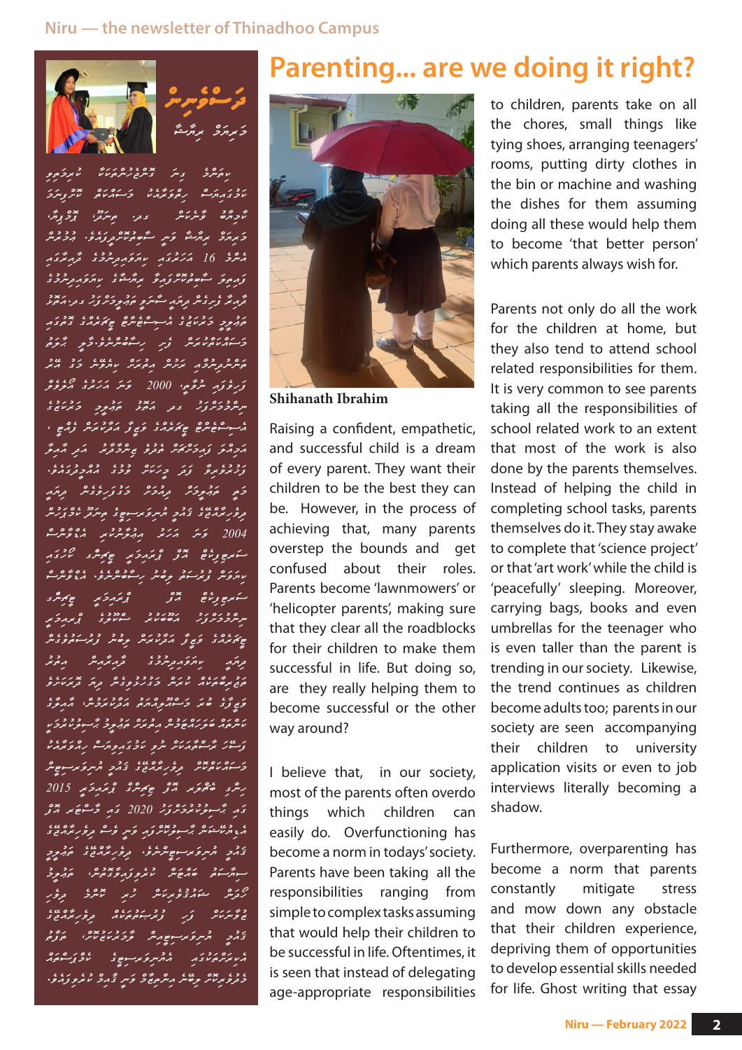#### **Niru — the newsletter of Thinadhoo Campus**





ﺮﻩ ﻣﻪ ﺭ ﺩﻩ ﺩﻩ ﺩﻩ ﺩﻩ ﺩﻩ ﺩﻩ ﺩﻩ ﺩﻩ ﺩﻩ ﺩﻩ ﺩﻩ ﻣﻮ ﺩ د د د د ده ده در دوره بده در<br>المری در این عروفه در سواران و انگریز است څږ د د د ده<br>کردېږده وکرکانگر د در مانځري پروپورې <u>ﺧ</u>َﺮﻣُﻮ ﺣﺮﻣُﺮﺣَﻘَﺮ ﻣَﺮﻣِ ﺣَﻨﻤﺮ ﺣَﻨﻤﺮ ﺣَﻨﻤﺮ ﺣَﻨﻤﺮ ﻣُﺮْﻣُﻮ 16 ﻣَﺮَﻳُﺮِﻣَﺮَ ﻣِﺮَﻣُﺮِﻣِﺮُﻭْ ﻣُﺮِﻣُّﺮَّ ﻣِ زموز شورورد بروستوی برور دو، ދާއިރާ ފެށިގެން ދިޔައީ ސާނަވީ ތަޢުލީމަށްފަހު ގދ.އަތޮޅު دو د در درده عدد در دوره حدد در<br>میبرخ دیرمای بر سوسوه سرح جامحدرد و می މަސައްކަތްކުރަން ފެށި ހިސާބުންނެވ.ެމާލީ ޙާލަތު ތަންނުދިނުމާއި ރަށުން އިތުރަށް ކިޔެވޭނެ މަގު އޭރު ِمَرِخُوَمَ شَرْحَمِ ﴾ 2000 - وَسَرَ مَرَيْرِءُ صَنْعَو محد د دورور<br>سرسروچروٹر دور مصرف خوبہوچ چرمندی غ سوسوم دورہ دورہ دورہ ، دورہ ، دورہ ، دورہ ، دورہ ، دورہ ، دورہ ، دورہ ، دورہ ، دورہ ، دورہ ، دورہ ، دورہ ، د އަމިއްލަ ފައިމަށްޗަށް ތެދުވެ ޒިންމާދާރު އަދި އާއިލާ رد ده ده در ده در ده درد ده کردن کرد.<br>وزیرویزهٔ وَکر دِرَکار ودی ممار دورو څږ د د د دور دوره د مرکز ދިވެހިރާއްޖޭގެ ޤައުމީ ޔުނިވަރސިޓީގެ ތިނަދޫ ކެމްޕަހުން ى<br>2004 – خەش مەكەش كىلەن مەكەن ئارلىق مەك ڪمڪر ڪِمُڪِ ڪِمِڪِ ڪِ ކިޔަވަން ފުރުސަތު ލިބުނު ހިސާބުންނެވ.ެ އެޑްވާންސް ސަރޓިފިކެޓް އޮފް ޕްރައިމަރީ ޓީޗިންގ سره دره دو دوده و هرمرکبر<br>سرهروحرور ارضامند سونتری و عرمرکبر ޓީޗަރެއްގެ ވަޒީފާ އަދާކުރަން ލިބުނު ފުރުސަތުވެގެން ދިޔައީ ކިޔަވައިދިނުމުގެ ދާއިރާއިން އިތުރު ތަޖުރިބާތަކެއް ކުރަން މަގުހުޅުވިގެން ދިޔަ ދޮރަކަށެވެ ވަޒީފާގެ ބުރަ މަސްއޫލިއްޔަތު އަދާކުރަމުނ،ް އާއިލާގެ ކަންތައް ބަލަހައްޓަމުން އިތުރަށް ތަޢުލީމު ޙާސިލުކުރުމަކީ ފަސޭހަ ރާސްތާއަކަށް ނުވި ކަމުގައިވިޔަސް ހިއްވަރާއެކު މަސައްކަތްކޮށް ދިވެހިރާއްޖޭގެ ޤައުމީ ޔުނިވަރސިޓީން رىگرى غۇمۇكە ھەمرى 2015 كىلىمىڭ 2015 ގައި ޙާސިލުކުރުމަށްފަހު 2020 ގައި މާސްޓަރ އޮފް އެޑިޔުކޭޝަން ޙާސިލުކޮށްފައި ވަނީ ވެސް ދިވެހިރާއްޖޭގެ ޤައުމީ ޔުނިވަރސިޓީންނެވ.ެ ދިވެހިރާއްޖޭގެ ތަޢުލީމީ سوم د د د د د د د د د د د د د د د د د د ހޯދަން ޝައުޤުވެރިކަން ހުރި ކޮންމެ ދިވެހި ޒުވާނަކަށް ފަހި ފުރުޞަތުތަކެއް ދިވެހިރާއްޖޭގެ ޤައުމީ ޔުނިވަރސިޓީއިން ލާމަރުކަޒުކޮށ،ް ތަފާތު د د ده در دوره<br>مرحوز دومبرکو در دوسوی سرویس در در ِى دِی ِ ِ ِ ِ ِ ِ ِ ِ صِ صَحِیْحِ وَ مِرِ تَحْکُمُ مِنْ رَوْمَ وَ ِ ِ ِ َ مِرَّ مِرَ مِرَةٍ وَ اللّ

### **Parenting... are we doing it right?**



**Shihanath Ibrahim**

Raising a confident, empathetic, and successful child is a dream of every parent. They want their children to be the best they can be. However, in the process of achieving that, many parents overstep the bounds and get confused about their roles. Parents become 'lawnmowers' or 'helicopter parents', making sure that they clear all the roadblocks for their children to make them successful in life. But doing so, are they really helping them to become successful or the other way around?

I believe that, in our society, most of the parents often overdo things which children can easily do. Overfunctioning has become a norm in todays' society. Parents have been taking all the responsibilities ranging from simple to complex tasks assuming that would help their children to be successful in life. Oftentimes, it is seen that instead of delegating age-appropriate responsibilities to children, parents take on all the chores, small things like tying shoes, arranging teenagers' rooms, putting dirty clothes in the bin or machine and washing the dishes for them assuming doing all these would help them to become 'that better person' which parents always wish for.

Parents not only do all the work for the children at home, but they also tend to attend school related responsibilities for them. It is very common to see parents taking all the responsibilities of school related work to an extent that most of the work is also done by the parents themselves. Instead of helping the child in completing school tasks, parents themselves do it. They stay awake to complete that 'science project' or that 'art work' while the child is 'peacefully' sleeping. Moreover, carrying bags, books and even umbrellas for the teenager who is even taller than the parent is trending in our society. Likewise, the trend continues as children become adults too; parents in our society are seen accompanying their children to university application visits or even to job interviews literally becoming a shadow.

Furthermore, overparenting has become a norm that parents constantly mitigate stress and mow down any obstacle that their children experience, depriving them of opportunities to develop essential skills needed for life. Ghost writing that essay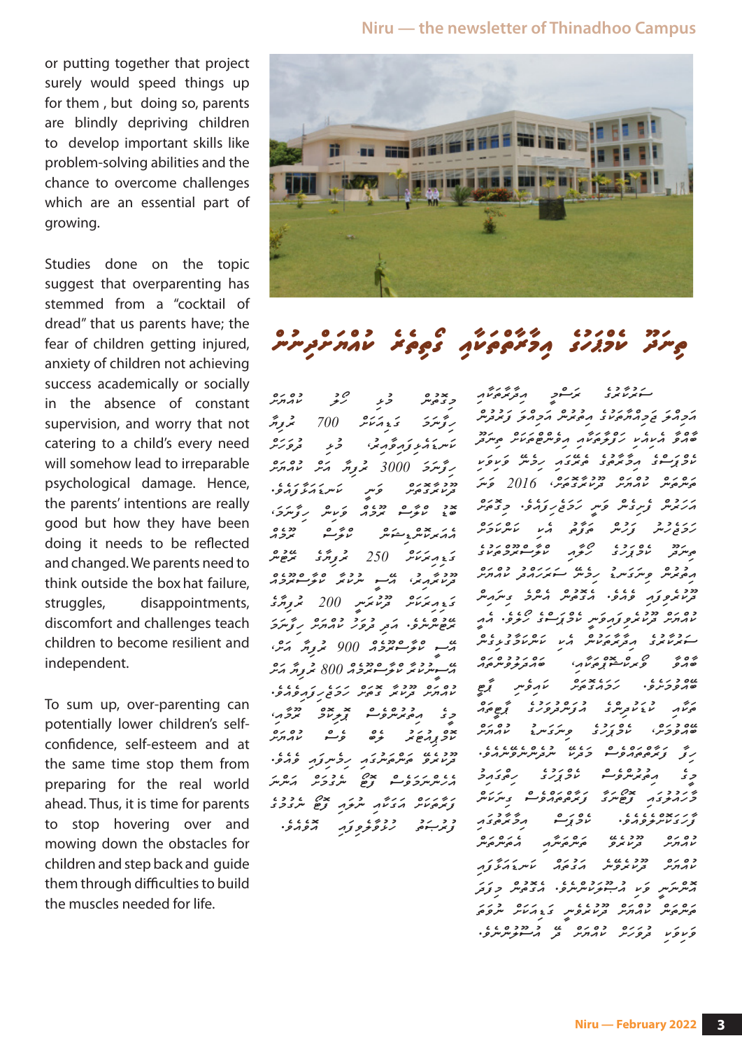**Niru — the newsletter of Thinadhoo Campus**

or putting together that project surely would speed things up for them , but doing so, parents are blindly depriving children to develop important skills like problem-solving abilities and the chance to overcome challenges which are an essential part of growing.

Studies done on the topic suggest that overparenting has stemmed from a "cocktail of dread" that us parents have; the fear of children getting injured, anxiety of children not achieving success academically or socially in the absence of constant supervision, and worry that not catering to a child's every need will somehow lead to irreparable psychological damage. Hence, the parents' intentions are really good but how they have been doing it needs to be reflected and changed. We parents need to think outside the box hat failure, struggles, disappointments, discomfort and challenges teach children to become resilient and independent.

To sum up, over-parenting can potentially lower children's selfconfidence, self-esteem and at the same time stop them from preparing for the real world ahead. Thus, it is time for parents to stop hovering over and mowing down the obstacles for children and step back and guide them through difficulties to build the muscles needed for life.



# conunidation eretitor eretit og conunidation egu<br>Gant New York egg in den egge

ح د ده ده ده<br>در ده در المدارس ހިފާނަމަ ގަޑިއަކަށް 700 ރުފިޔާ ކަނޑައެޅިފައިވާއިރ،ު މުޅި ދުވަހަށް ر تٌوسرَى 3000 ، حرومَہ ماہر مرد عامر مرد م دد د ۶ در در در در د.<br>در اس در اس کامر در در د. ބޮޑު ކްލާސް ރޫމެއް ވަކިން ހިފާނަމ،ަ ، د ۶ ده دو، دو، د<br>مەندىن س<sub>ە</sub>رىشۇشى ئىرىمى <sub>خ</sub>دمزند 250 کروگری مرجع دد د ) ذات دور و دوره د<br>تر المرار عن المرسوم المرسوكور <sub>م</sub>ح م مركز من حقيق 200 مركز كلية المركز ރޭޓުންނެވ.ެ އަދި ދުވަހު ކުއްޔަށް ހިފާނަމަ مصد عرضه حديد مشر مشر المريد ى سەنزىم ئۇستىردە 800 كىرى*م مى*ر ކުއްޔަށް ދޫކުރާ ގޮތަށް ހަމަޖެހިފައިވެއެވ.ެ غ دہ دوم دوم<br>حری ہ*ے پوسرو*سو ہومزد ہوم ﮐﯽ ﺩﻩ ﺩﻩ ﺩﻩ ﺩﻩ ﺩﻩ ﺩﻩ ﺩﻩ<br>עכ נָרש <del>ﺪ</del> <del>ﺩ</del>ﻩ ﻭ <u>ﺩ</u> ދޫކުރެވޭ ތަންތަނުގައި ހިމެނިފައި ވެއެވ.ެ އެހެންނަމަވެސް ފޮޓޯ ނެގުމަށް އަންނަ ފަރާތަކަށް އަގަކާއި ނުލައި ފޮޓޯ ނެގުމުގެ د د د د دوره د د در دورو.<br>توند سور د دورو در دورو. ސަރުކާރުގެ ރަސްމީ އިދާރާތަކާއި އަމިއްލަ ޖަމިއްޔާތަކުގެ އިތުރުން އަމިއްލަ ފަރުދުން ބާއްވާ އެކިއެކި ހަފްލާތަކާއި އިވެންޓްތަކަށް ތިނަދޫ ކެމްޕަސްގެ އިމާރާތުގެ ތެރޭގައި ހިމެނޭ ވަކިވަކި ތަންތަން ކުއްޔަށް ދޫކުރާގޮތަށ،ް 2016 ވަނަ އަހަރުން ފެށިގެން ވަނީ ހަމަޖެހިފައެވ.ެ މިގޮތަށް در دور دو دور دور دور دور<br>دوچرس زرس موزمی مرد مسر دور د دو دون دون دون دون دون<br>موسرتو سروپر در سرگر سرگر دون އިތުރުން ވިނަގަނޑު ހިމެނޭ ސަރަހައްދު ކުއްޔަށް כככי י גוב גובה גופה בית הית<br>בנו איפצה פהפי הבניית היית בית היית ده ره دود ، محمد در محاور ۱۳۵۵<br>מהחינ تر عمرہ توجہ قرصوں کے مرکز مقدم ސަރުކާރުގެ އިދާރާތަކުން އެކި ކަންކަމާގުޅިގެން ބާއްވާ ވޯރކްޝޮޕްތަކާއ،ި ބައްދަލުވުންތައް دد د د د د د ۶۰<br>حوړکرو، د حدي پر کوړ کړه د۶ ، د کا خاره در د د عدد د مختلف دره<br>مختلف سایت سویس در اور د مختلف اور محمد اور د مختلف در اور در اور در دارست د ބޭއްވުމަށ،ް ކެމްޕަހުގެ ވިނަގަނޑު ކުއްޔަށް ހިފާ ފަރާތްތައްވެސް މަދެކޭ ނުދެންނެވޭނެއެވ.ެ غ د د د د د د د<br>چې پر مو<sub>ک</sub>ومبرو سون<sub>ځ</sub>ړۍ رحو د د ﺧﺮﺩﺩﺩ , 20 ﺩﻩ , 20 ﺩﺭﻩ<br>ﺣﺮﺣﺒ<del>ﺮ</del>ﺩﻩ <del>ﺯ</del>ﮬײﺮﻯ *ﺯﻏﺮﻩ*ﻣﻮﻣﺮﻭﺳﻮ ﺩﺱﺭﯨﺲ ފާހަގަކޮށްލެވެއެވ.ެ ކެމްޕަސް އިމާރާތުގައި ده ره دو دو روبر در دوره<br>دارابرس تردانوی وسروسرار اروسروس כסים כל כלי יודעי גרודיו<br>אממית "בנודעפיית "משמש" איית ב'מיליצמ އޮންނަނީ ވަކި އުޞޫލަކުންނެވ.ެ އެގޮތުން މިފަދަ ތަންތަން ކުއްޔަށް ދޫކުރެވެނީ ގަޑިއަކަށް ނުވަތަ ވަކިވަކި ދުވަހަށް ކުއްޔަށް ދޭ އުސޫލުންނެވ.ެ